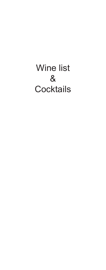# Wine list & **Cocktails**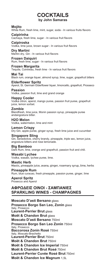## **COCKTAILS by John Samaras**

#### **Mojito**

White Rum, fresh lime, mint, sugar, soda - In various fruits flavors

## **Caipirinha**

Cachaça, fresh lime, sugar - In various fruit flavors

#### **Caipiroska**

Vodka, lime juice, brown sugar - In various fruit flavors

#### **Dry Martini**

Martini dry, Gin - In various fruit flavors

#### **Frozen Daiquiri**

Rum, fresh lime, sugar - In various fruit flavors

#### **Frozen Margarita**

Tequila, Cointreau, fresh lime - In various fruit flavors

#### **Mai Tai**

Black rum, orange liquer, almond syrup, lime, sugar, grapefruit bitters

#### **Elderflower Spritz**

Aperol, St. Germain Elderflower liquer, limoncello, grapefruit, Prosseco **Passion**

## Vodka, passion fruit, lime and grand orange

#### **Happy Cooler**

Vodka citron, aperol, mango puree, passion fruit puree, grapefruit juice, lemon sorbet.

#### **Zombie**

Blendfresh, lime juice, Monin passion syrup, pineapple puree andangostura bitter.

**H2O Melon** Vodka, watermelon, lime and mint

**Lemon Crispy** Dry Gin, apple puree, ginger syrup, fresh lime juice and cucumber

#### **Singapore Sling**

Gin, benedictive, cherry brandy, pineapple, triple sec, lemon juice, angostura bitters and rose lemonade.

#### **Big Bamboo**

Dark Rum, lime, orange and grapefruit, passion fruit and chili.

#### **Wasabi Lychee**

Vodka, wasabi, lychee puree, lime.

#### **Mastic Herb**

Mastic, pineapple juice, avana, ginger, rosemary syrup, lime, herbs

#### **Pineapple Rum**

Rum, blue curacao, fresh pineapple, passion puree, ginger, lime

#### **Αperol Spritz** Prosecco and Aperol

## **ΑΦΡΩΔΕΙΣ ΟΙΝΟΙ - ΣΑΜΠΑΝΙΕΣ SPARKLING WINES - CHAMPAGNES**

**Moscato D'asti Bersano** glass **Prosecco Borgo San Leo, Zonin** glass Italy, Prosecco **Laurent-Perrier Brut** glass **Moët & Chandon Brut** glass **Moscato D'asti Bersano** 750ml **Prosecco Borgo San Leo Zonin** 750ml Italy, Prosecco **Baccorosa Ζonin Rosé** 750ml Italy, Moscato-Brachetto **Laurent-Perrier Brut** 750ml **Moët & Chandon Brut** 750ml **Moët & Chandon Ice Imperial** 750ml **Moët & Chandon Brut Rosé** 750ml **Laurent-Perrier Cuvée Rosé Brut** 750ml **Moët & Chandon Ice Magnum** 1,5L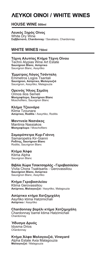## *AEYKOLOINOL/WHITE WINES*

## **HOUSE WINE 500ml**

**Λευκός Ξηρός Οίνος**  White Drv Wine **Σαββατιανό, Chardonnay** / Savatiano, Chardonnay

## **WHITE WINES 750ml**

#### **Tέχνη Αλυπίας Κτήμα Τέχνη Οίνου**  Techni Alypias Wine Art Estate **Sauvignon Blanc, Ασύρτικο** Sauvignon Blanc, Assyrtiko

**Έμμετρος Λόγος Τσάνταλη** Εmmetros Logos Tsantali

## **Sauvignon, Ασύρτικο, Μαλαγουζιά**

Sauvignon, Assyrtiko, Malagouzia

## **Ορεινός Ήλιος Σεμέλη**

Orinos ilios Semeli **Μοσχοφίλερο, Sauvignon Blanc** Moschofilero, Sauvignon Blanc

## **Κλήμα Τζουνάρα**

Klima Tzounara **Ασύρτικο, Roditis** / Assyrtiko, Roditis

## **Μαντινεία Nασιάκος**

Mantinia Nassiakos **Μοσχοφίλερο** / Moschofilero

## **Σαμαρόπετρα Κυρ-Γιάννη**

Samaropetra Kir-Gianni **Ροδίτης, Sauvignon Blanc** Roditis, Sauvignon Blanc

## **Kτήμα Άλφα**

Ktima Alpha Sauvignon Blanc

## **Βιβλία Χώρα Τσακτσαρλής - Γεροβασιλείου**

Vivlia Chora Tsaktsarlis - Gerovassiliou **Sauvignon Blanc, Ασύρτικο** Sauvignon Blanc, Assyrtiko

## **Κτήμα Γεροβασιλείου**

Ktima Gerovassiliou **Ασύρτικο, Μαλαγουζιά** / Assyrtiko, Malagouzia

## **Ασύρτικο κτήμα Χατζημιχάλη**

Asyrtiko ktima Hatzimichali **Ασύρτικο** / Assyrtiko

**Chardonnay βαρέλι κτήμα Χατζημιχάλη** Chardonnay barrel ktima Hatzimichali **Chardonnay** 

#### **Ήδυσμα Δρυός**  Idysma Drios **Chardonnay**

**Κτήμα Άλφα Μαλαγουζιά, Vineyard**  Αlpha Estate Axia Malagouzia **Μαλαγουζιά** / Malagouzia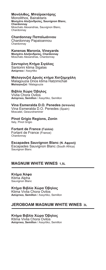## **Mονόλιθος, Μπαϊρακτάρης**

Monolithos, Bairaktaris **Μοσχάτο Αλεξανδρείας, Sauvignon Blanc, Chardonnay** Moschato Alexandrias, Sauvignon Blanc, Chardonnay

#### **Chardonnay Παπαϊωάννου**

Chardonnay Papaioannou **Chardonnay** 

## **Ȁanenas Maronia, Vineyards**

**Μοσχάτο Αλεξανδρείας, Chardonnay** Moschato Alexandrias, Chardonnay

#### **Σαντορίνη Ȁτήμα Σιγάλας**

Santorini ktima Sigalas **Ασύρτικο** / Assyrtiko

## **Mαλαγουζιά Δρυός κτήμα Χατζημιχάλη**

Malagouzia Drios ktima Hatzimichali **Mαλαγουζιά** / Malagouzia

#### **Βιβλία Χώρα Όβηλος**

Vivlia Chora Ovilos **Ασύρτικο, Semillon** / Assyrtiko, Semillon

## **Vina Esmeralda D.O. Penedes (ǿσπανία)**

Vina Esmeralda D.O. Penedes (Spain) Moscatel, Gewurztraminer

#### **Pinot Grigio Regions, Zonin**  Italy, Pinot Grigio

**Fortant de France (Γαλλία)** Fortant de France (France) **Chardonnay** 

## **Escapades Sauvignon Blanc (Ν. Αφρική)**

Escapades Sauvignon Blanc (South Africa) Sauvignon Blanc

## **MAGNUM WHITE WINES 1,5L**

#### **Ȁτήμα Άλφα**  Ktima Alpha Sauvignon Blanc

**Kτήμα Βιβλία Χώρα Όβηλος**  Κtima Vivlia Chora Ovilos **Ασύρτικο, Semillon** / Assyrtiko, Semillon

## **JEROBOAM MAGNUM WHITE WINES 3L**

**Kτήμα Βιβλία Χώρα Όβηλος**  Ktima Vivlia Chora Ovilos<br>Ασύρτικο, Semillon / Assyrtiko, Semillon **, Semillon** / Assyrtiko,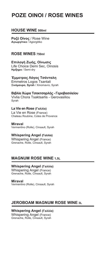## **POZE OINOI / ROSE WINES**

## **HOUSE WINE 500ml**

**Poζέ Οίνος** / Rose Wine **Αγιωργίτικο** / Agiorgitiko

## **ROSE WINES 750ml**

**Επιλογή Ζωής, Οίνωσις** Life Choice Demi Sec, Oinosis **Ημίξηρο** / Semi-dry

**Έμμετρος Λόγος Τσάνταλη** Εmmetros Logos Tsantali **Ξινόμαυρο, Syrah** / Xinomavro, Syrah

**Βιβλία Χώρα Τσακτσαρλής - Γεροβασιλείου**  Vivlia Chora Tsaktsarlis - Gerovasiliou Syrah

## **La Vie en Rose (Γαλλία)**

La Vie en Rose (France) Chateau Roubine, Cotes de Provence

**Miraval**  Vermentino (Rolle), Cinsault, Syrah

## **Whispering Angel (Γαλλία)**

Whispering Angel (France) Grenache, Rolle, Cinsault, Syrah

## **MAGNUM ROSE WINE 1,5L**

## **Whispering Angel (Γαλλία)**

Whispering Angel (France) Grenache, Rolle, Cinsault, Syrah

**Miraval** 

Vermentino (Rolle), Cinsault, Syrah

## **JEROBOAM MAGNUM ROSE WINE 3L**

**Whispering Angel (Γαλλία)** Whispering Angel (France) Grenache, Rolle, Cinsault, Syrah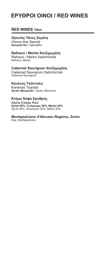## **EPYΘΡΟΙ ΟΙΝΟΙ / RED WINES**

## **RED WINES 750ml**

## **Ορεινός Ήλιος Σεμέλη**

Orinos ilios Semeli **Αγιωργίτικο** / Agiorgitiko

## **Refosco / Merlot Xατζημιχάλη**

Refosco / Merlot Xatzimichali Refosco, Merlot

## **Cabernet Sauvignon Xατζημιχάλη**

Cabernet Sauvignon Xatzimichali Cabernet Sauvignon

## **Kανένας Τσάνταλη**

Kanenas Tsantali **Syrah, Μαυρούδι** / Syrah, Mavroudi

#### **Ȁτήμα Άλφα Ερυθρός**

Alpha Estate Red **Syrah 60%, Ξινόμαυρο 20%, Merlot 20%** Syrah 60%, Xinomavro 20%, Merlot 20%

## **Montepulciano d'Abruzzo Regions, Zonin**

Italy, Montepulciano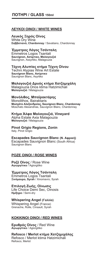## **ȁΕΥȀȅǿ ȅǿȃȅǿ / WHǿΤΕ WINES**

## **ȁευκός Ȅηρός ȅίνος**

White Dry Wine **Σαββατιανό, Chardonnay** / Savatiano, Chardonnay

**Έμμετρος ȁόγος Τσάνταλη** Εmmetros Logos Tsantali **Sauvignon, Ασύρτικο, Mαλαγουζιά** Sauvignon, Assyrtiko, Malagouzia

#### **Tέχνη Αλυπίας κτήμα Τέχνη ȅίνου**

Techni Alypias Wine Art Estate **Sauvignon Blanc, Ασύρτικο** Sauvignon Blanc, Asyrtiko

**Mαλαγουζιά Δρυός κτήμα Χατζημιχάλη** Malagouzia Drios ktima Hatzimichali **Mαλαγουζιά** / Malagouzia

#### **Mονόλιθος, Ȃπαϊρακτάρης**

Monolithos, Bairaktaris **Ȃοσχάτο Αλεξανδρείας, Sauvignon Blanc, Chardonnay** Moschato Alexandrias, Sauvignon Blanc, Chardonnay

#### **Ȁτήμα Άλφα Ȃαλαγουζιά, Vineyard**

Αlpha Estate Axia Malagouzia **Ȃαλαγουζιά** / Malagouzia

**Pinot Grigio Regions, Zonin**  Italy, Pinot Grigio

**Escapades Sauvignon Blanc (ȃ. Αφρική)** Escapades Sauvignon Blanc (South Africa) Sauvignon Blanc

## **POZE OINOI / ROSE WINES**

**ȇοζέ ȅίνος** / Rose Wine **Αγιωργίτικο** / Agiorgitiko

**Έμμετρος ȁόγος Τσάνταλη** Εmmetros Logos Tsantali **Ȅινόμαυρο, Syrah** / Xinomavro, Syrah

**Επιλογή Ζωής, ȅίνωσις** Life Choice Demi Sec, Oinosis **Ημίξηρο** / Semi-dry

## **Whispering Angel (Γαλλία)**

Whispering Angel (France) Grenache, Rolle, Cinsault, Syrah

## **ȀȅȀȀǿȃȅǿ ȅǿȃȅǿ / RED WINES**

**Ερυθρός ȅίνος** / Red Wine **Αγιωργίτικο** / Agiorgitiko

**Refosco / Merlot κτήμα Χατζημιχάλης** Refosco / Merlot ktima Hatzimichali Refosco, Merlot